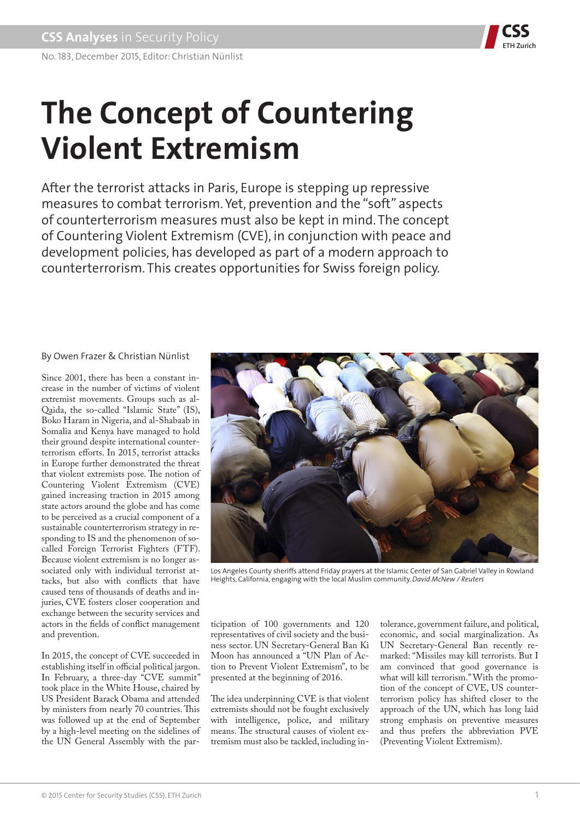

# **The Concept of Countering Violent Extremism**

After the terrorist attacks in Paris, Europe is stepping up repressive measures to combat terrorism. Yet, prevention and the "soft" aspects of counterterrorism measures must also be kept in mind. The concept of Countering Violent Extremism (CVE), in conjunction with peace and development policies, has developed as part of a modern approach to counterterrorism. This creates opportunities for Swiss foreign policy.

# By Owen Frazer & Christian Nünlist

Since 2001, there has been a constant increase in the number of victims of violent extremist movements. Groups such as al-Qaida, the so-called "Islamic State" (IS), Boko Haram in Nigeria, and al-Shabaab in Somalia and Kenya have managed to hold their ground despite international counterterrorism efforts. In 2015, terrorist attacks in Europe further demonstrated the threat that violent extremists pose. The notion of Countering Violent Extremism (CVE) gained increasing traction in 2015 among state actors around the globe and has come to be perceived as a crucial component of a sustainable counterterrorism strategy in responding to IS and the phenomenon of socalled Foreign Terrorist Fighters (FTF). Because violent extremism is no longer associated only with individual terrorist attacks, but also with conflicts that have caused tens of thousands of deaths and injuries, CVE fosters closer cooperation and exchange between the security services and actors in the fields of conflict management and prevention.

In 2015, the concept of CVE succeeded in establishing itself in official political jargon. In February, a three-day "CVE summit" took place in the White House, chaired by US President Barack Obama and attended by ministers from nearly 70 countries. This was followed up at the end of September by a high-level meeting on the sidelines of the UN General Assembly with the par-



Los Angeles County sheriffs attend Friday prayers at the Islamic Center of San Gabriel Valley in Rowland Heights, California, engaging with the local Muslim community. *David McNew / Reuters*

ticipation of 100 governments and 120 representatives of civil society and the business sector. UN Secretary-General Ban Ki Moon has announced a "UN Plan of Action to Prevent Violent Extremism", to be presented at the beginning of 2016.

The idea underpinning CVE is that violent extremists should not be fought exclusively with intelligence, police, and military means. The structural causes of violent extremism must also be tackled, including in-

tolerance, government failure, and political, economic, and social marginalization. As UN Secretary-General Ban recently remarked: "Missiles may kill terrorists. But I am convinced that good governance is what will kill terrorism." With the promotion of the concept of CVE, US counterterrorism policy has shifted closer to the approach of the UN, which has long laid strong emphasis on preventive measures and thus prefers the abbreviation PVE (Preventing Violent Extremism).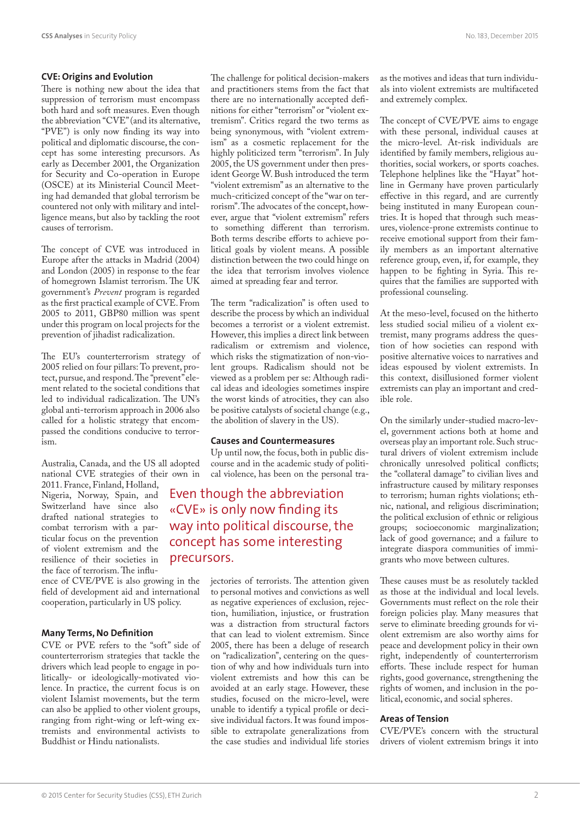## **CVE: Origins and Evolution**

There is nothing new about the idea that suppression of terrorism must encompass both hard and soft measures. Even though the abbreviation "CVE" (and its alternative, "PVE") is only now finding its way into political and diplomatic discourse, the concept has some interesting precursors. As early as December 2001, the Organization for Security and Co-operation in Europe (OSCE) at its Ministerial Council Meeting had demanded that global terrorism be countered not only with military and intelligence means, but also by tackling the root causes of terrorism.

The concept of CVE was introduced in Europe after the attacks in Madrid (2004) and London (2005) in response to the fear of homegrown Islamist terrorism. The UK government's *Prevent* program is regarded as the first practical example of CVE. From 2005 to 2011, GBP80 million was spent under this program on local projects for the prevention of jihadist radicalization.

The EU's counterterrorism strategy of 2005 relied on four pillars: To prevent, protect, pursue, and respond. The "prevent" element related to the societal conditions that led to individual radicalization. The UN's global anti-terrorism approach in 2006 also called for a holistic strategy that encompassed the conditions conducive to terrorism.

Australia, Canada, and the US all adopted national CVE strategies of their own in

2011. France, Finland, Holland, Nigeria, Norway, Spain, and Switzerland have since also drafted national strategies to combat terrorism with a particular focus on the prevention of violent extremism and the resilience of their societies in the face of terrorism. The influ-

ence of CVE/PVE is also growing in the field of development aid and international cooperation, particularly in US policy.

# **Many Terms, No Definition**

CVE or PVE refers to the "soft" side of counterterrorism strategies that tackle the drivers which lead people to engage in politically- or ideologically-motivated violence. In practice, the current focus is on violent Islamist movements, but the term can also be applied to other violent groups, ranging from right-wing or left-wing extremists and environmental activists to Buddhist or Hindu nationalists.

The challenge for political decision-makers and practitioners stems from the fact that there are no internationally accepted definitions for either "terrorism" or "violent extremism". Critics regard the two terms as being synonymous, with "violent extremism" as a cosmetic replacement for the highly politicized term "terrorism". In July 2005, the US government under then president George W. Bush introduced the term "violent extremism" as an alternative to the much-criticized concept of the "war on terrorism". The advocates of the concept, however, argue that "violent extremism" refers to something different than terrorism. Both terms describe efforts to achieve political goals by violent means. A possible distinction between the two could hinge on the idea that terrorism involves violence aimed at spreading fear and terror.

The term "radicalization" is often used to describe the process by which an individual becomes a terrorist or a violent extremist. However, this implies a direct link between radicalism or extremism and violence, which risks the stigmatization of non-violent groups. Radicalism should not be viewed as a problem per se: Although radical ideas and ideologies sometimes inspire the worst kinds of atrocities, they can also be positive catalysts of societal change (e.g., the abolition of slavery in the US).

#### **Causes and Countermeasures**

Up until now, the focus, both in public discourse and in the academic study of political violence, has been on the personal tra-

# Even though the abbreviation «CVE» is only now finding its way into political discourse, the concept has some interesting precursors.

jectories of terrorists. The attention given to personal motives and convictions as well as negative experiences of exclusion, rejection, humiliation, injustice, or frustration was a distraction from structural factors that can lead to violent extremism. Since 2005, there has been a deluge of research on "radicalization", centering on the question of why and how individuals turn into violent extremists and how this can be avoided at an early stage. However, these studies, focused on the micro-level, were unable to identify a typical profile or decisive individual factors. It was found impossible to extrapolate generalizations from the case studies and individual life stories as the motives and ideas that turn individuals into violent extremists are multifaceted and extremely complex.

The concept of CVE/PVE aims to engage with these personal, individual causes at the micro-level. At-risk individuals are identified by family members, religious authorities, social workers, or sports coaches. Telephone helplines like the "Hayat" hotline in Germany have proven particularly effective in this regard, and are currently being instituted in many European countries. It is hoped that through such measures, violence-prone extremists continue to receive emotional support from their family members as an important alternative reference group, even, if, for example, they happen to be fighting in Syria. This requires that the families are supported with professional counseling.

At the meso-level, focused on the hitherto less studied social milieu of a violent extremist, many programs address the question of how societies can respond with positive alternative voices to narratives and ideas espoused by violent extremists. In this context, disillusioned former violent extremists can play an important and credible role.

On the similarly under-studied macro-level, government actions both at home and overseas play an important role. Such structural drivers of violent extremism include chronically unresolved political conflicts; the "collateral damage" to civilian lives and infrastructure caused by military responses to terrorism; human rights violations; ethnic, national, and religious discrimination; the political exclusion of ethnic or religious groups; socioeconomic marginalization; lack of good governance; and a failure to integrate diaspora communities of immigrants who move between cultures.

These causes must be as resolutely tackled as those at the individual and local levels. Governments must reflect on the role their foreign policies play. Many measures that serve to eliminate breeding grounds for violent extremism are also worthy aims for peace and development policy in their own right, independently of counterterrorism efforts. These include respect for human rights, good governance, strengthening the rights of women, and inclusion in the political, economic, and social spheres.

## **Areas of Tension**

CVE/PVE's concern with the structural drivers of violent extremism brings it into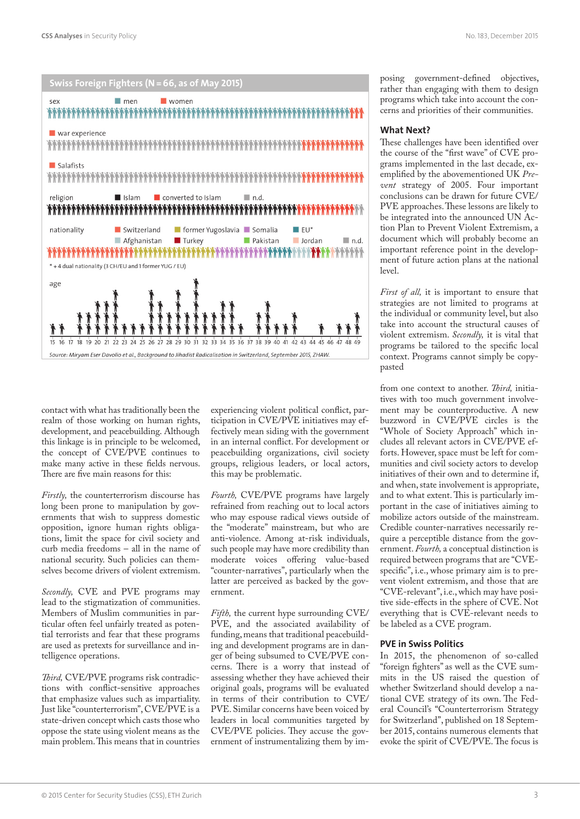



contact with what has traditionally been the realm of those working on human rights, development, and peacebuilding. Although this linkage is in principle to be welcomed, the concept of CVE/PVE continues to make many active in these fields nervous. There are five main reasons for this:

*Firstly,* the counterterrorism discourse has long been prone to manipulation by governments that wish to suppress domestic opposition, ignore human rights obligations, limit the space for civil society and curb media freedoms – all in the name of national security. Such policies can themselves become drivers of violent extremism.

*Secondly,* CVE and PVE programs may lead to the stigmatization of communities. Members of Muslim communities in particular often feel unfairly treated as potential terrorists and fear that these programs are used as pretexts for surveillance and intelligence operations.

*Third,* CVE/PVE programs risk contradictions with conflict-sensitive approaches that emphasize values such as impartiality. Just like "counterterrorism", CVE/PVE is a state-driven concept which casts those who oppose the state using violent means as the main problem. This means that in countries experiencing violent political conflict, participation in CVE/PVE initiatives may effectively mean siding with the government in an internal conflict. For development or peacebuilding organizations, civil society groups, religious leaders, or local actors, this may be problematic.

*Fourth,* CVE/PVE programs have largely refrained from reaching out to local actors who may espouse radical views outside of the "moderate" mainstream, but who are anti-violence. Among at-risk individuals, such people may have more credibility than moderate voices offering value-based "counter-narratives", particularly when the latter are perceived as backed by the government.

*Fifth,* the current hype surrounding CVE/ PVE, and the associated availability of funding, means that traditional peacebuilding and development programs are in danger of being subsumed to CVE/PVE concerns. There is a worry that instead of assessing whether they have achieved their original goals, programs will be evaluated in terms of their contribution to CVE/ PVE. Similar concerns have been voiced by leaders in local communities targeted by CVE/PVE policies. They accuse the government of instrumentalizing them by im-

posing government-defined objectives, rather than engaging with them to design programs which take into account the concerns and priorities of their communities.

### **What Next?**

These challenges have been identified over the course of the "first wave" of CVE programs implemented in the last decade, exemplified by the abovementioned UK *Prevent* strategy of 2005. Four important conclusions can be drawn for future CVE/ PVE approaches. These lessons are likely to be integrated into the announced UN Action Plan to Prevent Violent Extremism, a document which will probably become an important reference point in the development of future action plans at the national level.

*First of all,* it is important to ensure that strategies are not limited to programs at the individual or community level, but also take into account the structural causes of violent extremism. *Secondly,* it is vital that programs be tailored to the specific local context. Programs cannot simply be copypasted

from one context to another. *Third,* initiatives with too much government involvement may be counterproductive. A new buzzword in CVE/PVE circles is the "Whole of Society Approach" which includes all relevant actors in CVE/PVE efforts. However, space must be left for communities and civil society actors to develop initiatives of their own and to determine if, and when, state involvement is appropriate, and to what extent. This is particularly important in the case of initiatives aiming to mobilize actors outside of the mainstream. Credible counter-narratives necessarily require a perceptible distance from the government. *Fourth,* a conceptual distinction is required between programs that are "CVEspecific", i.e., whose primary aim is to prevent violent extremism, and those that are "CVE-relevant", i.e., which may have positive side-effects in the sphere of CVE. Not everything that is CVE-relevant needs to be labeled as a CVE program.

## **PVE in Swiss Politics**

In 2015, the phenomenon of so-called "foreign fighters" as well as the CVE summits in the US raised the question of whether Switzerland should develop a national CVE strategy of its own. The Federal Council's "Counterterrorism Strategy for Switzerland", published on 18 September 2015, contains numerous elements that evoke the spirit of CVE/PVE. The focus is